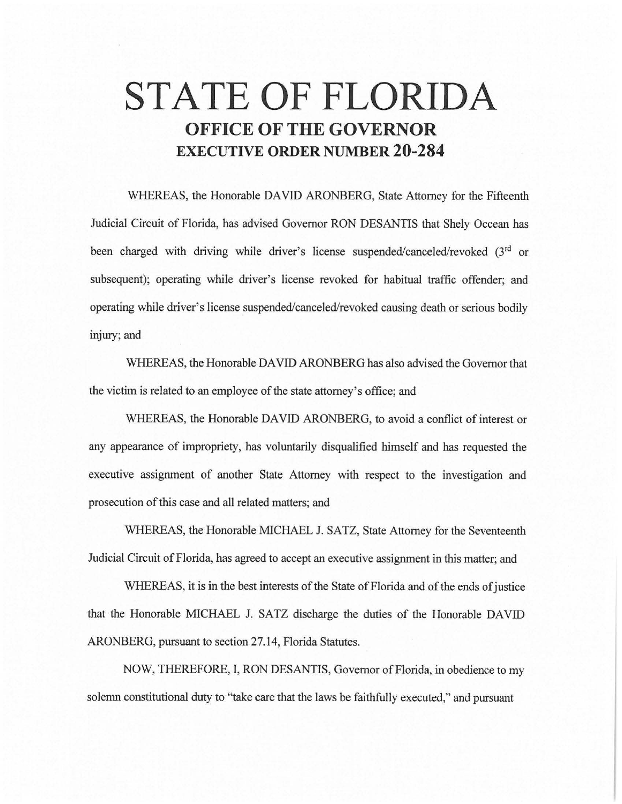# **STATE OF FLORIDA OFFICE OF THE GOVERNOR EXECUTIVE ORDER NUMBER 20-284**

WHEREAS, the Honorable DAVID ARONBERG, State Attorney for the Fifteenth Judicial Circuit of Florida, has advised Governor RON DESANTIS that Shely Occean has been charged with driving while driver's license suspended/canceled/revoked (3<sup>rd</sup> or subsequent); operating while driver's license revoked for habitual traffic offender; and operating while driver's license suspended/canceled/revoked causing death or serious bodily injury; and

WHEREAS, the Honorable DAVID ARONBERG has also advised the Governor that the victim is related to an employee of the state attorney's office; and

WHEREAS, the Honorable DAVID ARONBERG, to avoid a conflict of interest or any appearance of impropriety, has voluntarily disqualified himself and has requested the executive assignment of another State Attorney with respect to the investigation and prosecution of this case and all related matters; and

WHEREAS, the Honorable MICHAEL J. SATZ, State Attorney for the Seventeenth Judicial Circuit of Florida, has agreed to accept an executive assignment in this matter; and

WHEREAS, it is in the best interests of the State of Florida and of the ends of justice that the Honorable MICHAEL J. SATZ discharge the duties of the Honorable DAVID ARONBERG, pursuant to section 27.14, Florida Statutes.

NOW, THEREFORE, I, RON DESANTIS, Governor of Florida, in obedience to my solemn constitutional duty to "take care that the laws be faithfully executed," and pursuant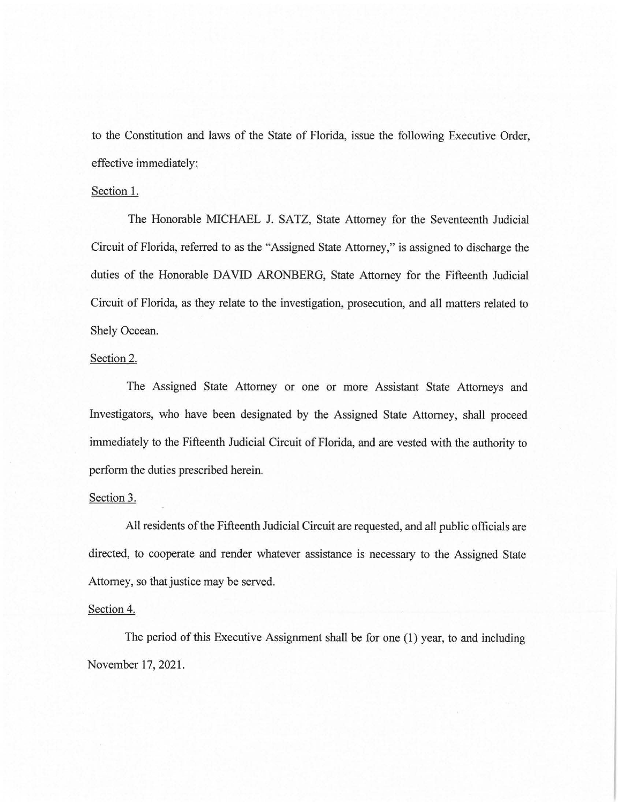to the Constitution and laws of the State of Florida, issue the following Executive Order, effective immediately:

### Section 1.

The Honorable MICHAEL J. SATZ, State Attorney for the Seventeenth Judicial Circuit of Florida, referred to as the "Assigned State Attorney," is assigned to discharge the duties of the Honorable DAVID ARONBERG, State Attorney for the Fifteenth Judicial Circuit of Florida, as they relate to the investigation, prosecution, and all matters related to Shely Occean.

## Section 2.

The Assigned State Attorney or one or more Assistant State Attorneys and Investigators, who have been designated by the Assigned State Attorney, shall proceed immediately to the Fifteenth Judicial Circuit of Florida, and are vested with the authority to perform the duties prescribed herein.

## Section 3.

All residents of the Fifteenth Judicial Circuit are requested, and all public officials are directed, to cooperate and render whatever assistance is necessary to the Assigned State Attorney, so that justice may be served.

## Section 4.

The period of this Executive Assignment shall be for one (1) year, to and including November 17, 2021.